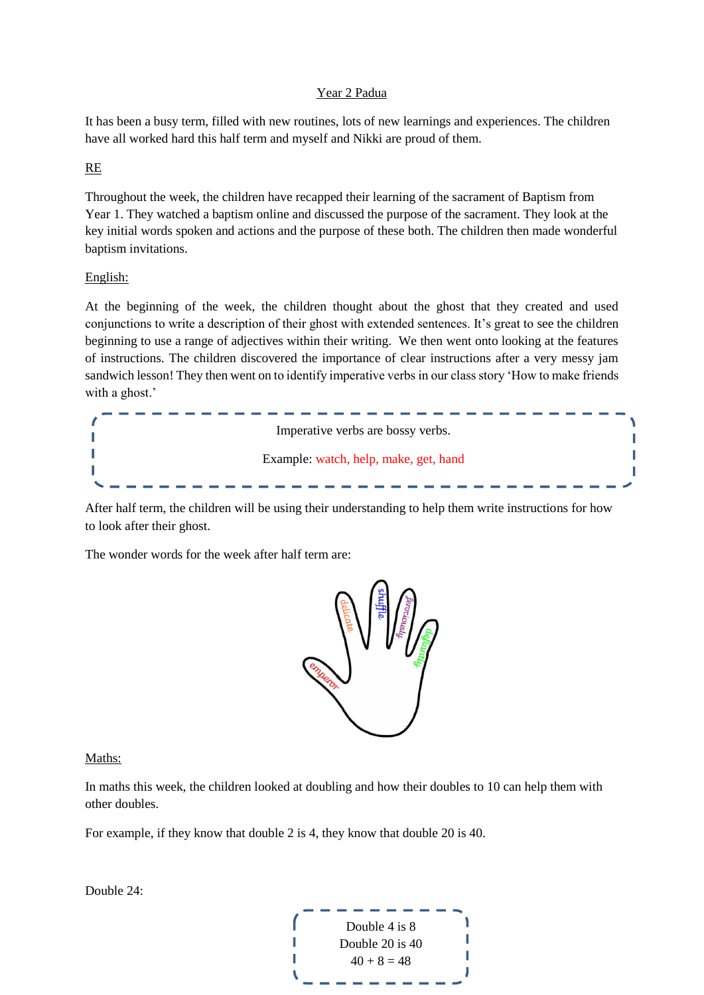## Year 2 Padua

It has been a busy term, filled with new routines, lots of new learnings and experiences. The children have all worked hard this half term and myself and Nikki are proud of them.

## RE

Throughout the week, the children have recapped their learning of the sacrament of Baptism from Year 1. They watched a baptism online and discussed the purpose of the sacrament. They look at the key initial words spoken and actions and the purpose of these both. The children then made wonderful baptism invitations.

## English:

At the beginning of the week, the children thought about the ghost that they created and used conjunctions to write a description of their ghost with extended sentences. It's great to see the children beginning to use a range of adjectives within their writing. We then went onto looking at the features of instructions. The children discovered the importance of clear instructions after a very messy jam sandwich lesson! They then went on to identify imperative verbs in our class story 'How to make friends with a ghost.'



After half term, the children will be using their understanding to help them write instructions for how to look after their ghost.

The wonder words for the week after half term are:



## Maths:

In maths this week, the children looked at doubling and how their doubles to 10 can help them with other doubles.

For example, if they know that double 2 is 4, they know that double 20 is 40.

Double 24:

Double 4 is 8 Double 20 is 40 П I  $40 + 8 = 48$